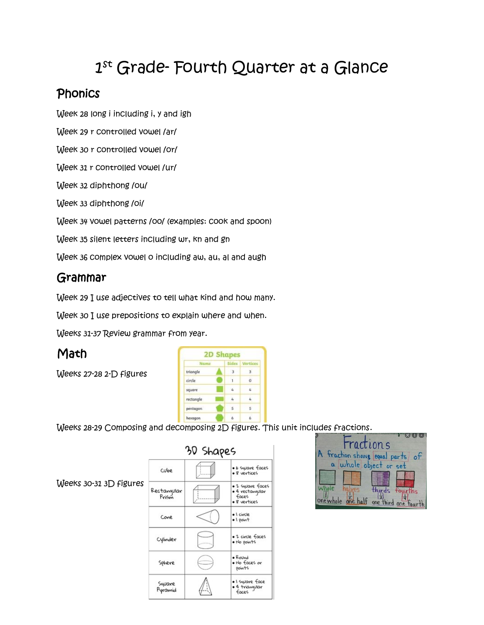# 1 st Grade- Fourth Quarter at a Glance

#### **Phonics**

Week 28 long i including i, y and igh

Week 29 r controlled vowel /ar/

Week 30 r controlled vowel /or/

Week 31 r controlled vowel /ur/

Week 32 diphthong /ou/

Week 33 diphthong /oi/

Week 34 vowel patterns /oo/ (examples: cook and spoon)

Week 35 silent letters including wr, kn and gn

Week 36 complex vowel o including aw, au, al and augh

### Grammar

Week 29 I use adjectives to tell what kind and how many.

Week 30 I use prepositions to explain where and when.

Weeks 31-37 Review grammar from year.

## **Math**

Weeks 27-28 2-D figures

Weeks 30-31 3D figures

| Name      | Sides          | Vertices                |
|-----------|----------------|-------------------------|
| triangle  | g.             | 3.                      |
| circle.   | j,             | ö                       |
| square    | $\mathbf{z}_i$ | Ł.                      |
| rectangle |                | 4                       |
| pentagon  | -5             | $\overline{\mathbf{s}}$ |

Weeks 28-29 Composing and decomposing 2D figures. This unit includes fractions.

| 30 Shapes            |          |                                                              |
|----------------------|----------|--------------------------------------------------------------|
| Culoe                |          | · 6 square faces<br>· 8 vertices                             |
| Rectanqular<br>Prism |          | · 2 square faces<br>• 4 rectangular<br>faces<br>· 8 vertices |
| Cone                 |          | · I civcle<br>$\bullet$ 1 point                              |
| Cylinder             | artists, | • 2 civcle faces<br>· No points                              |
| Sphere               |          | $\bullet$ Round<br>• No faces or<br>points                   |
| Square<br>Pyramid    |          | • I square face<br>• 4 trianquiar<br>faces                   |

| <u>aaco 1700 sichar</u>      |                                 |
|------------------------------|---------------------------------|
|                              |                                 |
| ractions                     |                                 |
|                              | A fraction shows equal parts of |
|                              | a whole object or set           |
|                              |                                 |
| halves.                      | fourths                         |
| one whole one half one third |                                 |